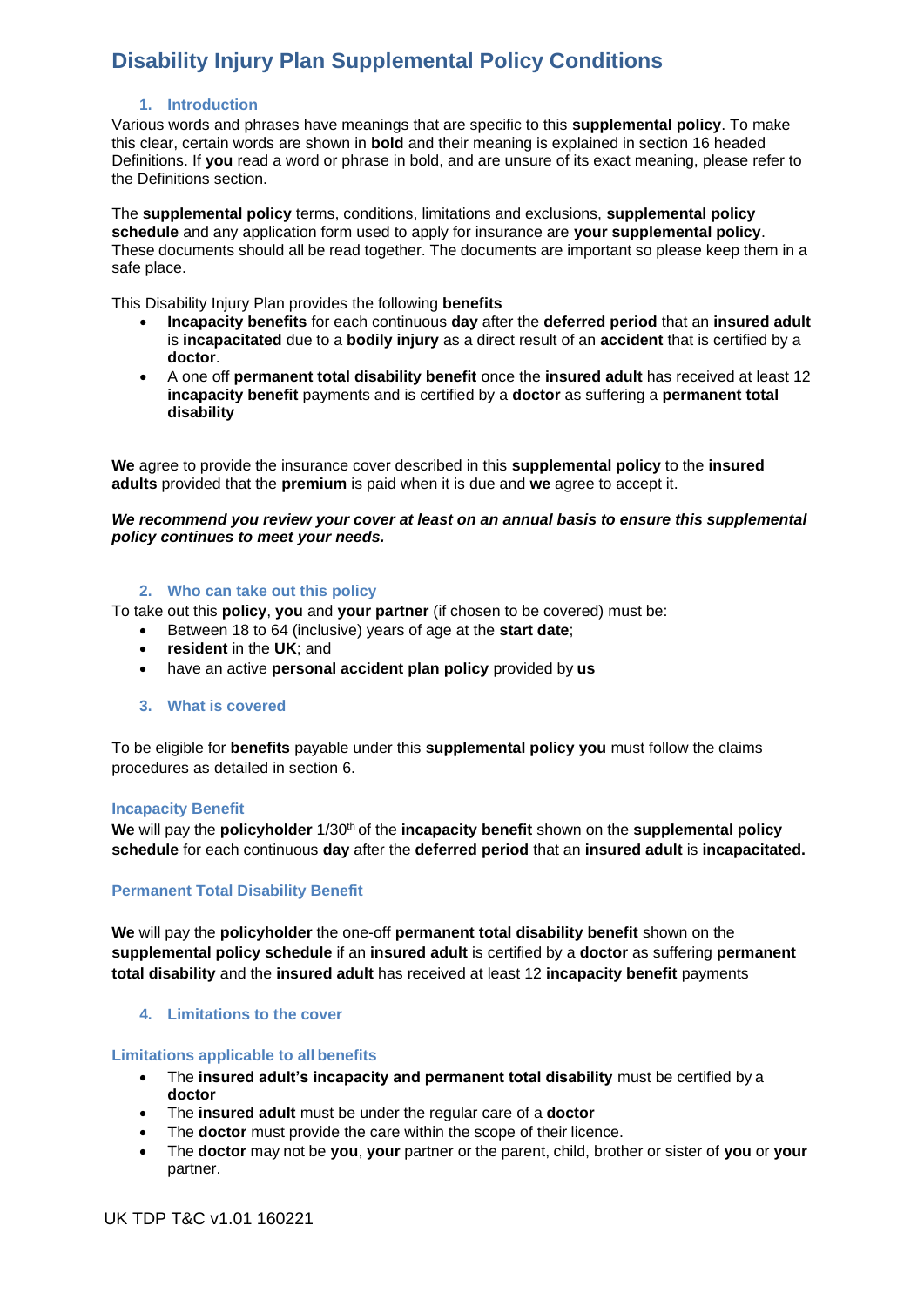### **1. Introduction**

Various words and phrases have meanings that are specific to this **supplemental policy**. To make this clear, certain words are shown in **bold** and their meaning is explained in section 16 headed Definitions. If **you** read a word or phrase in bold, and are unsure of its exact meaning, please refer to the Definitions section.

The **supplemental policy** terms, conditions, limitations and exclusions, **supplemental policy schedule** and any application form used to apply for insurance are **your supplemental policy**. These documents should all be read together. The documents are important so please keep them in a safe place.

This Disability Injury Plan provides the following **benefits**

- **Incapacity benefits** for each continuous **day** after the **deferred period** that an **insured adult**  is **incapacitated** due to a **bodily injury** as a direct result of an **accident** that is certified by a **doctor**.
- A one off **permanent total disability benefit** once the **insured adult** has received at least 12 **incapacity benefit** payments and is certified by a **doctor** as suffering a **permanent total disability**

**We** agree to provide the insurance cover described in this **supplemental policy** to the **insured adults** provided that the **premium** is paid when it is due and **we** agree to accept it.

#### *We recommend you review your cover at least on an annual basis to ensure this supplemental policy continues to meet your needs.*

### **2. Who can take out this policy**

To take out this **policy**, **you** and **your partner** (if chosen to be covered) must be:

- Between 18 to 64 (inclusive) years of age at the **start date**;
- **resident** in the **UK**; and
- have an active **personal accident plan policy** provided by **us**
- **3. What is covered**

To be eligible for **benefits** payable under this **supplemental policy you** must follow the claims procedures as detailed in section 6.

#### **Incapacity Benefit**

We will pay the **policyholder**  $1/30$ <sup>th</sup> of the **incapacity benefit** shown on the **supplemental policy schedule** for each continuous **day** after the **deferred period** that an **insured adult** is **incapacitated.**

## **Permanent Total Disability Benefit**

**We** will pay the **policyholder** the one-off **permanent total disability benefit** shown on the **supplemental policy schedule** if an **insured adult** is certified by a **doctor** as suffering **permanent total disability** and the **insured adult** has received at least 12 **incapacity benefit** payments

## **4. Limitations to the cover**

#### **Limitations applicable to all benefits**

- The **insured adult's incapacity and permanent total disability** must be certified by a **doctor**
- The **insured adult** must be under the regular care of a **doctor**
- The **doctor** must provide the care within the scope of their licence.
- The **doctor** may not be **you**, **your** partner or the parent, child, brother or sister of **you** or **your** partner.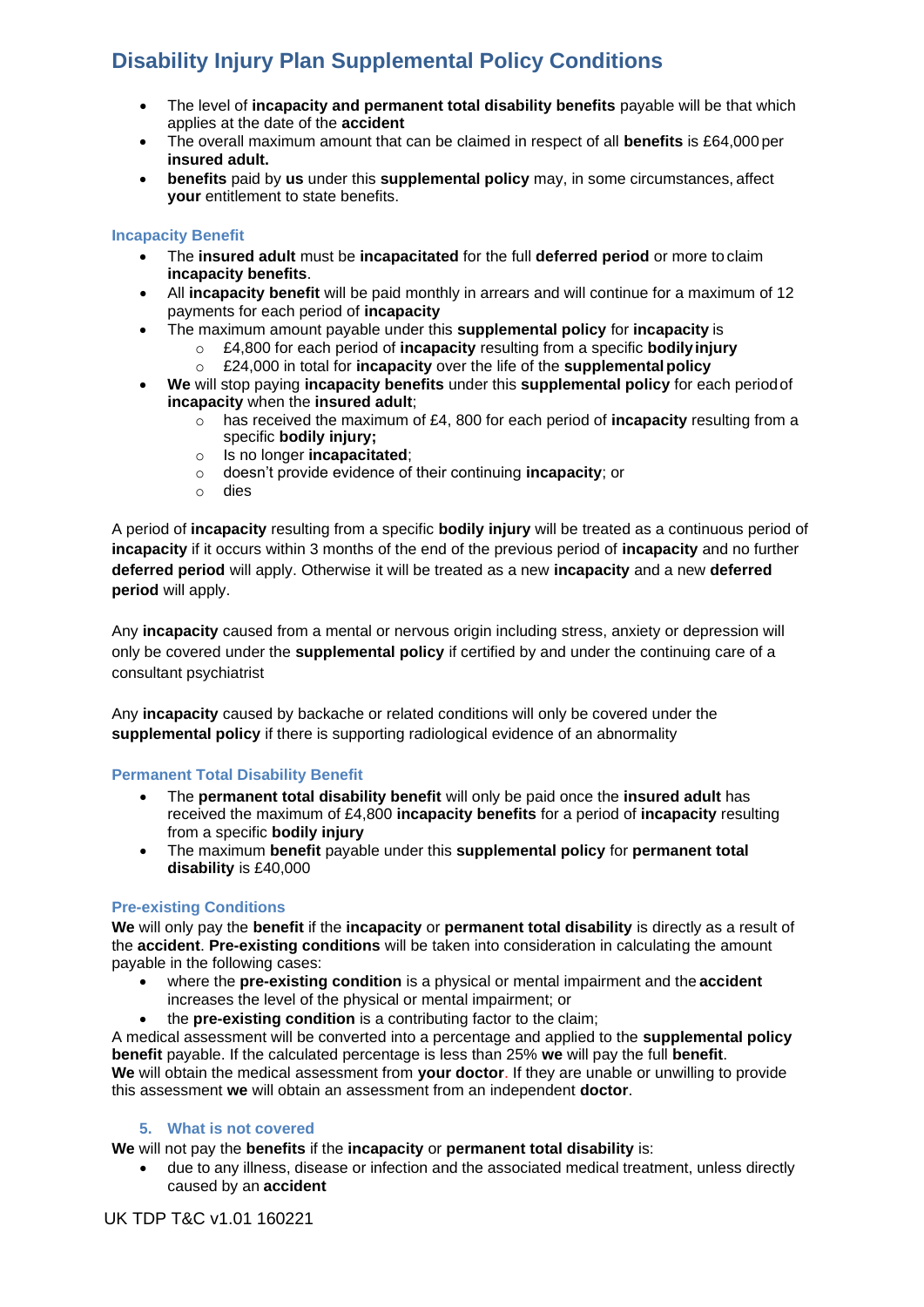- The level of **incapacity and permanent total disability benefits** payable will be that which applies at the date of the **accident**
- The overall maximum amount that can be claimed in respect of all **benefits** is £64,000 per **insured adult.**
- **benefits** paid by **us** under this **supplemental policy** may, in some circumstances, affect **your** entitlement to state benefits.

## **Incapacity Benefit**

- The **insured adult** must be **incapacitated** for the full **deferred period** or more to claim **incapacity benefits**.
- All **incapacity benefit** will be paid monthly in arrears and will continue for a maximum of 12 payments for each period of **incapacity**
- The maximum amount payable under this **supplemental policy** for **incapacity** is
	- o £4,800 for each period of **incapacity** resulting from a specific **bodilyinjury**
	- o £24,000 in total for **incapacity** over the life of the **supplementalpolicy**
- **We** will stop paying **incapacity benefits** under this **supplemental policy** for each periodof **incapacity** when the **insured adult**;
	- o has received the maximum of £4, 800 for each period of **incapacity** resulting from a specific **bodily injury;**
	- o Is no longer **incapacitated**;
	- o doesn't provide evidence of their continuing **incapacity**; or
	- o dies

A period of **incapacity** resulting from a specific **bodily injury** will be treated as a continuous period of **incapacity** if it occurs within 3 months of the end of the previous period of **incapacity** and no further **deferred period** will apply. Otherwise it will be treated as a new **incapacity** and a new **deferred period** will apply.

Any **incapacity** caused from a mental or nervous origin including stress, anxiety or depression will only be covered under the **supplemental policy** if certified by and under the continuing care of a consultant psychiatrist

Any **incapacity** caused by backache or related conditions will only be covered under the **supplemental policy** if there is supporting radiological evidence of an abnormality

## **Permanent Total Disability Benefit**

- The **permanent total disability benefit** will only be paid once the **insured adult** has received the maximum of £4,800 **incapacity benefits** for a period of **incapacity** resulting from a specific **bodily injury**
- The maximum **benefit** payable under this **supplemental policy** for **permanent total disability** is £40,000

## **Pre-existing Conditions**

**We** will only pay the **benefit** if the **incapacity** or **permanent total disability** is directly as a result of the **accident**. **Pre-existing conditions** will be taken into consideration in calculating the amount payable in the following cases:

- where the **pre-existing condition** is a physical or mental impairment and the **accident** increases the level of the physical or mental impairment; or
- the **pre-existing condition** is a contributing factor to the claim;

A medical assessment will be converted into a percentage and applied to the **supplemental policy benefit** payable. If the calculated percentage is less than 25% **we** will pay the full **benefit**. **We** will obtain the medical assessment from **your doctor**. If they are unable or unwilling to provide this assessment **we** will obtain an assessment from an independent **doctor**.

## **5. What is not covered**

**We** will not pay the **benefits** if the **incapacity** or **permanent total disability** is:

• due to any illness, disease or infection and the associated medical treatment, unless directly caused by an **accident**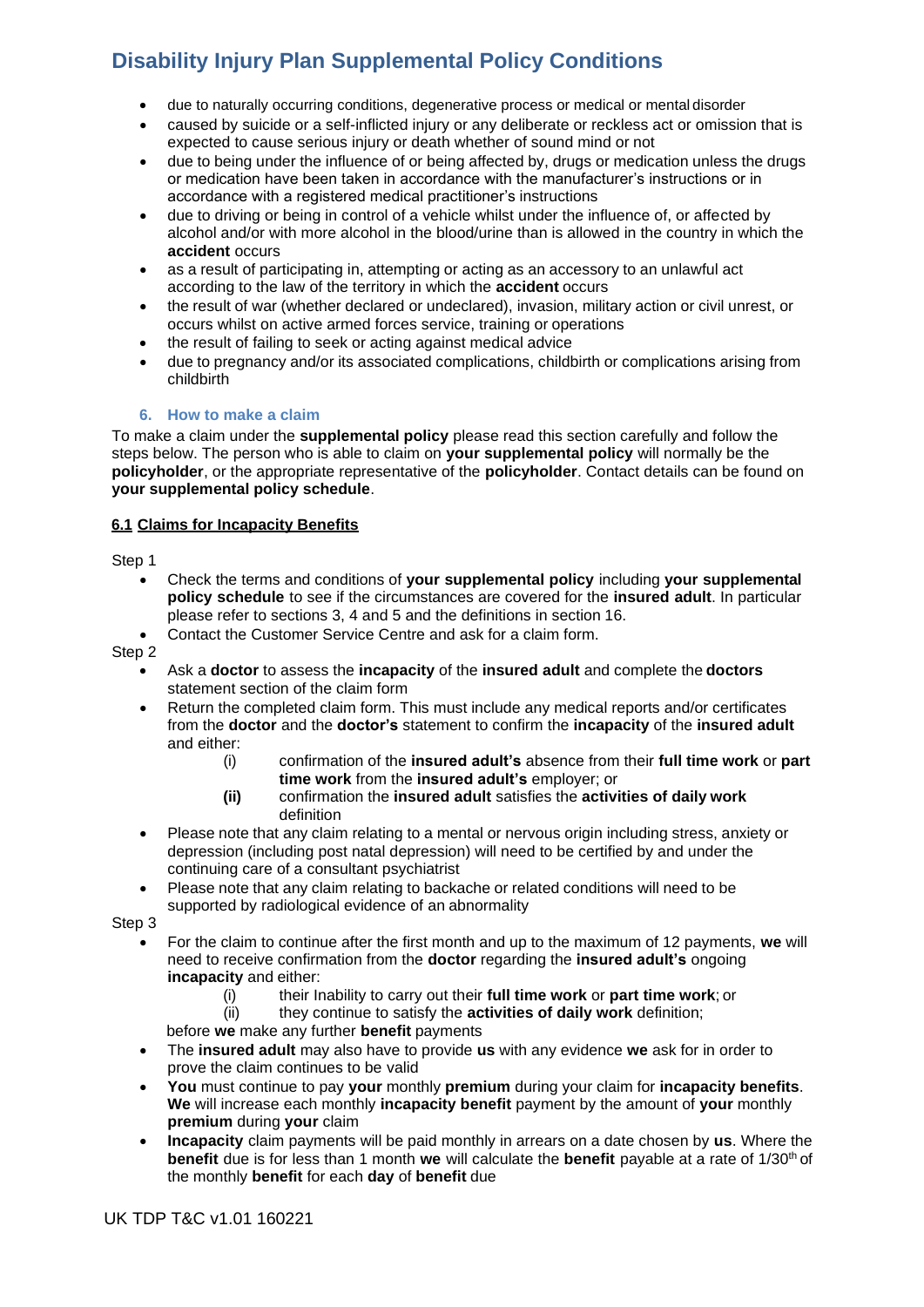- due to naturally occurring conditions, degenerative process or medical or mental disorder
- caused by suicide or a self-inflicted injury or any deliberate or reckless act or omission that is expected to cause serious injury or death whether of sound mind or not
- due to being under the influence of or being affected by, drugs or medication unless the drugs or medication have been taken in accordance with the manufacturer's instructions or in accordance with a registered medical practitioner's instructions
- due to driving or being in control of a vehicle whilst under the influence of, or affected by alcohol and/or with more alcohol in the blood/urine than is allowed in the country in which the **accident** occurs
- as a result of participating in, attempting or acting as an accessory to an unlawful act according to the law of the territory in which the **accident** occurs
- the result of war (whether declared or undeclared), invasion, military action or civil unrest, or occurs whilst on active armed forces service, training or operations
- the result of failing to seek or acting against medical advice
- due to pregnancy and/or its associated complications, childbirth or complications arising from childbirth

# **6. How to make a claim**

To make a claim under the **supplemental policy** please read this section carefully and follow the steps below. The person who is able to claim on **your supplemental policy** will normally be the **policyholder**, or the appropriate representative of the **policyholder**. Contact details can be found on **your supplemental policy schedule**.

# **6.1 Claims for Incapacity Benefits**

Step 1

- Check the terms and conditions of **your supplemental policy** including **your supplemental policy schedule** to see if the circumstances are covered for the **insured adult**. In particular please refer to sections 3, 4 and 5 and the definitions in section 16.
- Contact the Customer Service Centre and ask for a claim form.

Step 2

- Ask a **doctor** to assess the **incapacity** of the **insured adult** and complete the **doctors** statement section of the claim form
- Return the completed claim form. This must include any medical reports and/or certificates from the **doctor** and the **doctor's** statement to confirm the **incapacity** of the **insured adult**  and either:
	- (i) confirmation of the **insured adult's** absence from their **full time work** or **part time work** from the **insured adult's** employer; or
	- **(ii)** confirmation the **insured adult** satisfies the **activities of daily work** definition
- Please note that any claim relating to a mental or nervous origin including stress, anxiety or depression (including post natal depression) will need to be certified by and under the continuing care of a consultant psychiatrist
- Please note that any claim relating to backache or related conditions will need to be supported by radiological evidence of an abnormality

Step 3

- For the claim to continue after the first month and up to the maximum of 12 payments, **we** will need to receive confirmation from the **doctor** regarding the **insured adult's** ongoing **incapacity** and either:
	- (i) their Inability to carry out their **full time work** or **part time work**; or
	- (ii) they continue to satisfy the **activities of daily work** definition;

before **we** make any further **benefit** payments

- The **insured adult** may also have to provide **us** with any evidence **we** ask for in order to prove the claim continues to be valid
- **You** must continue to pay **your** monthly **premium** during your claim for **incapacity benefits**. **We** will increase each monthly **incapacity benefit** payment by the amount of **your** monthly **premium** during **your** claim
- **Incapacity** claim payments will be paid monthly in arrears on a date chosen by **us**. Where the **benefit** due is for less than 1 month **we** will calculate the **benefit** payable at a rate of 1/30<sup>th</sup> of the monthly **benefit** for each **day** of **benefit** due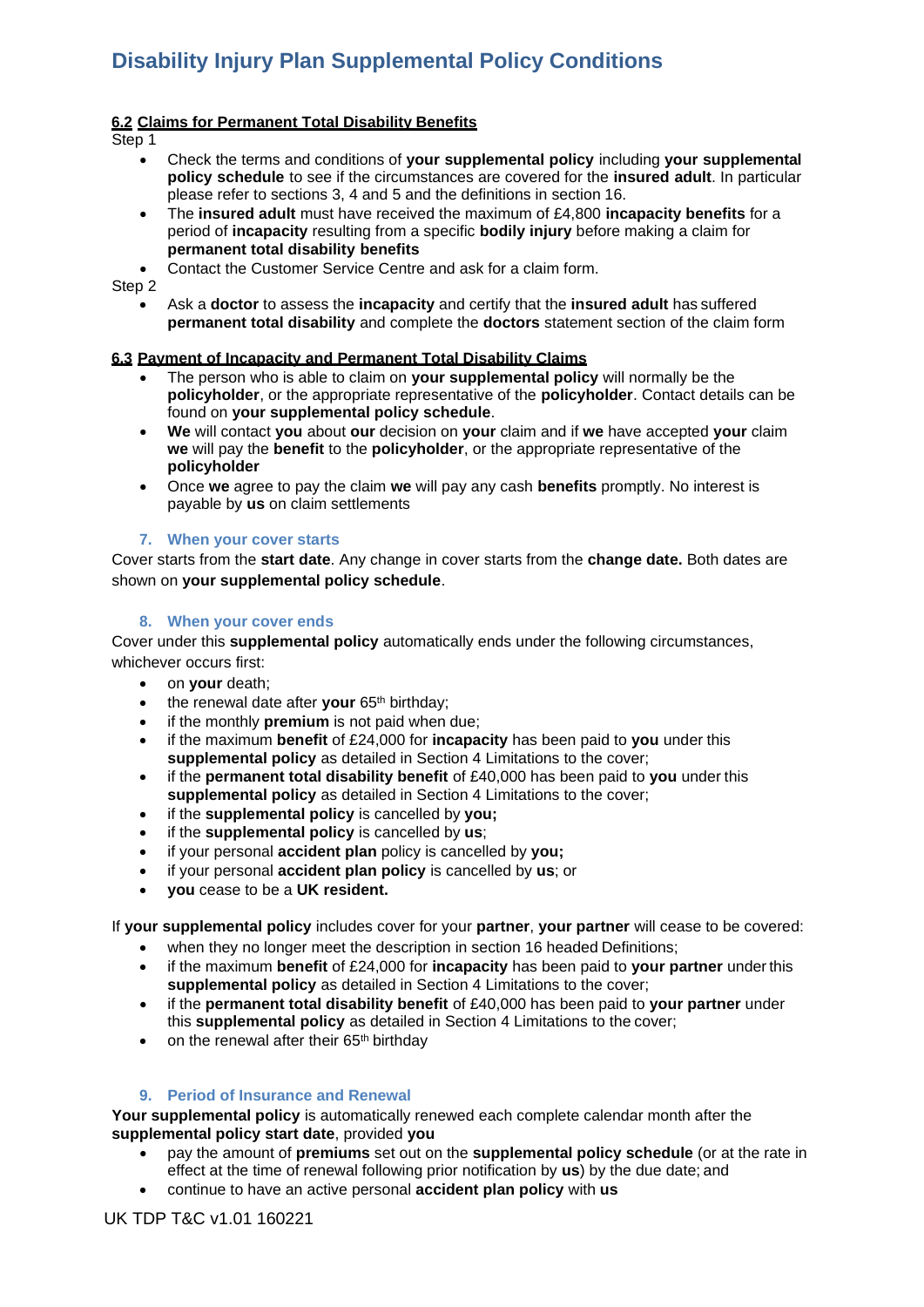## **6.2 Claims for Permanent Total Disability Benefits**

Step 1

- Check the terms and conditions of **your supplemental policy** including **your supplemental policy schedule** to see if the circumstances are covered for the **insured adult**. In particular please refer to sections 3, 4 and 5 and the definitions in section 16.
- The **insured adult** must have received the maximum of £4,800 **incapacity benefits** for a period of **incapacity** resulting from a specific **bodily injury** before making a claim for **permanent total disability benefits**
- Contact the Customer Service Centre and ask for a claim form.

Step 2

• Ask a **doctor** to assess the **incapacity** and certify that the **insured adult** has suffered **permanent total disability** and complete the **doctors** statement section of the claim form

## **6.3 Payment of Incapacity and Permanent Total Disability Claims**

- The person who is able to claim on **your supplemental policy** will normally be the **policyholder**, or the appropriate representative of the **policyholder**. Contact details can be found on **your supplemental policy schedule**.
- **We** will contact **you** about **our** decision on **your** claim and if **we** have accepted **your** claim **we** will pay the **benefit** to the **policyholder**, or the appropriate representative of the **policyholder**
- Once **we** agree to pay the claim **we** will pay any cash **benefits** promptly. No interest is payable by **us** on claim settlements

#### **7. When your cover starts**

Cover starts from the **start date**. Any change in cover starts from the **change date.** Both dates are shown on **your supplemental policy schedule**.

### **8. When your cover ends**

Cover under this **supplemental policy** automatically ends under the following circumstances, whichever occurs first:

- on **your** death;
- the renewal date after your 65<sup>th</sup> birthday;
- if the monthly **premium** is not paid when due;
- if the maximum **benefit** of £24,000 for **incapacity** has been paid to **you** under this **supplemental policy** as detailed in Section 4 Limitations to the cover;
- if the **permanent total disability benefit** of £40,000 has been paid to **you** under this **supplemental policy** as detailed in Section 4 Limitations to the cover;
- if the **supplemental policy** is cancelled by **you;**
- if the **supplemental policy** is cancelled by **us**;
- if your personal **accident plan** policy is cancelled by **you;**
- if your personal **accident plan policy** is cancelled by **us**; or
- **you** cease to be a **UK resident.**

If **your supplemental policy** includes cover for your **partner**, **your partner** will cease to be covered:

- when they no longer meet the description in section 16 headed Definitions;
- if the maximum **benefit** of £24,000 for **incapacity** has been paid to **your partner** underthis **supplemental policy** as detailed in Section 4 Limitations to the cover;
- if the **permanent total disability benefit** of £40,000 has been paid to **your partner** under this **supplemental policy** as detailed in Section 4 Limitations to the cover;
- on the renewal after their 65<sup>th</sup> birthday

## **9. Period of Insurance and Renewal**

**Your supplemental policy** is automatically renewed each complete calendar month after the **supplemental policy start date**, provided **you**

- pay the amount of **premiums** set out on the **supplemental policy schedule** (or at the rate in effect at the time of renewal following prior notification by **us**) by the due date; and
- continue to have an active personal **accident plan policy** with **us**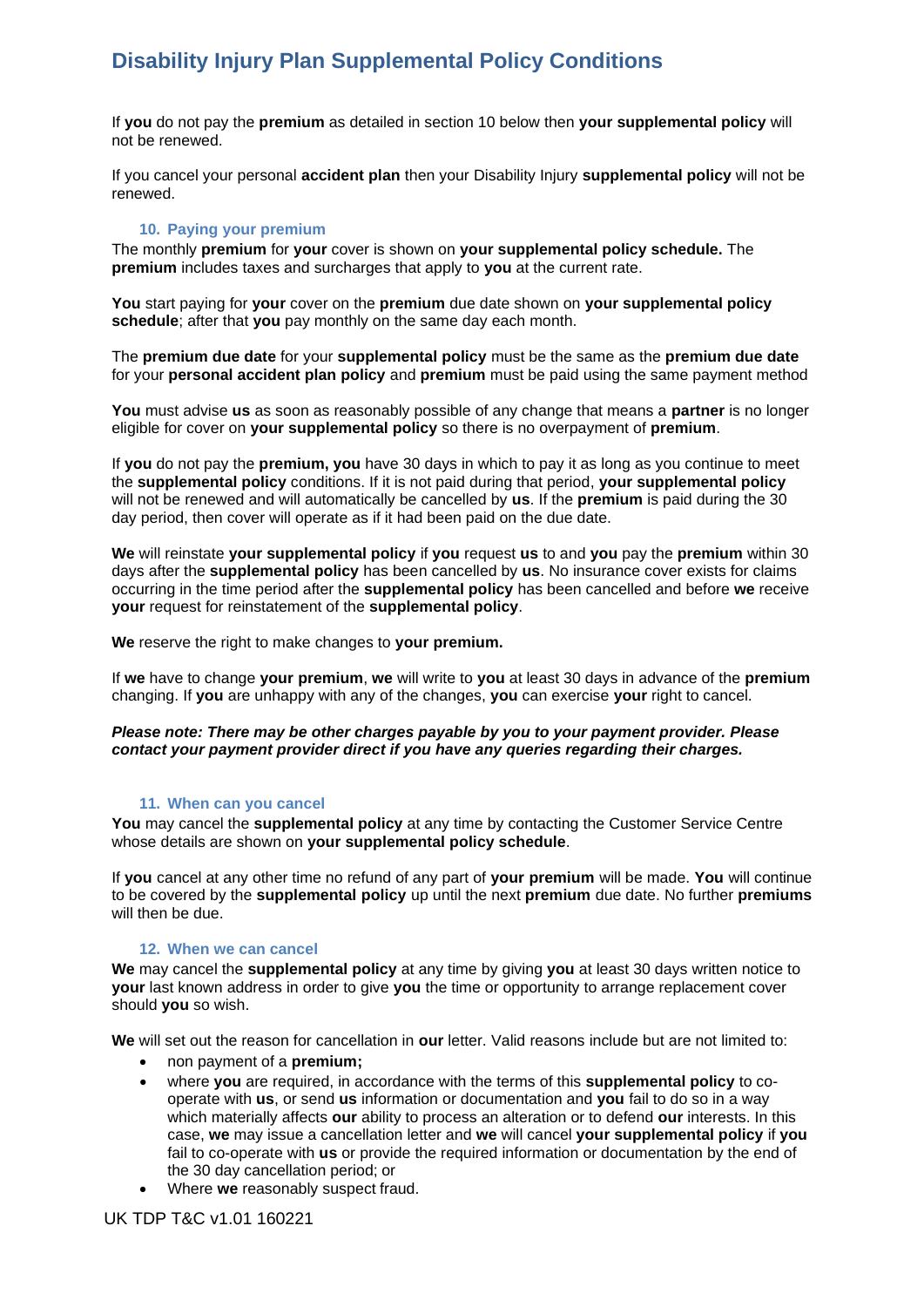If **you** do not pay the **premium** as detailed in section 10 below then **your supplemental policy** will not be renewed.

If you cancel your personal **accident plan** then your Disability Injury **supplemental policy** will not be renewed.

#### **10. Paying your premium**

The monthly **premium** for **your** cover is shown on **your supplemental policy schedule.** The **premium** includes taxes and surcharges that apply to **you** at the current rate.

**You** start paying for **your** cover on the **premium** due date shown on **your supplemental policy schedule**; after that **you** pay monthly on the same day each month.

The **premium due date** for your **supplemental policy** must be the same as the **premium due date** for your **personal accident plan policy** and **premium** must be paid using the same payment method

**You** must advise **us** as soon as reasonably possible of any change that means a **partner** is no longer eligible for cover on **your supplemental policy** so there is no overpayment of **premium**.

If **you** do not pay the **premium, you** have 30 days in which to pay it as long as you continue to meet the **supplemental policy** conditions. If it is not paid during that period, **your supplemental policy**  will not be renewed and will automatically be cancelled by **us**. If the **premium** is paid during the 30 day period, then cover will operate as if it had been paid on the due date.

**We** will reinstate **your supplemental policy** if **you** request **us** to and **you** pay the **premium** within 30 days after the **supplemental policy** has been cancelled by **us**. No insurance cover exists for claims occurring in the time period after the **supplemental policy** has been cancelled and before **we** receive **your** request for reinstatement of the **supplemental policy**.

**We** reserve the right to make changes to **your premium.**

If **we** have to change **your premium**, **we** will write to **you** at least 30 days in advance of the **premium** changing. If **you** are unhappy with any of the changes, **you** can exercise **your** right to cancel.

#### *Please note: There may be other charges payable by you to your payment provider. Please contact your payment provider direct if you have any queries regarding their charges.*

#### **11. When can you cancel**

**You** may cancel the **supplemental policy** at any time by contacting the Customer Service Centre whose details are shown on **your supplemental policy schedule**.

If **you** cancel at any other time no refund of any part of **your premium** will be made. **You** will continue to be covered by the **supplemental policy** up until the next **premium** due date. No further **premiums**  will then be due.

#### **12. When we can cancel**

**We** may cancel the **supplemental policy** at any time by giving **you** at least 30 days written notice to **your** last known address in order to give **you** the time or opportunity to arrange replacement cover should **you** so wish.

**We** will set out the reason for cancellation in **our** letter. Valid reasons include but are not limited to:

- non payment of a **premium;**
- where **you** are required, in accordance with the terms of this **supplemental policy** to cooperate with **us**, or send **us** information or documentation and **you** fail to do so in a way which materially affects **our** ability to process an alteration or to defend **our** interests. In this case, **we** may issue a cancellation letter and **we** will cancel **your supplemental policy** if **you**  fail to co-operate with **us** or provide the required information or documentation by the end of the 30 day cancellation period; or
- Where **we** reasonably suspect fraud.

# UK TDP T&C v1.01 160221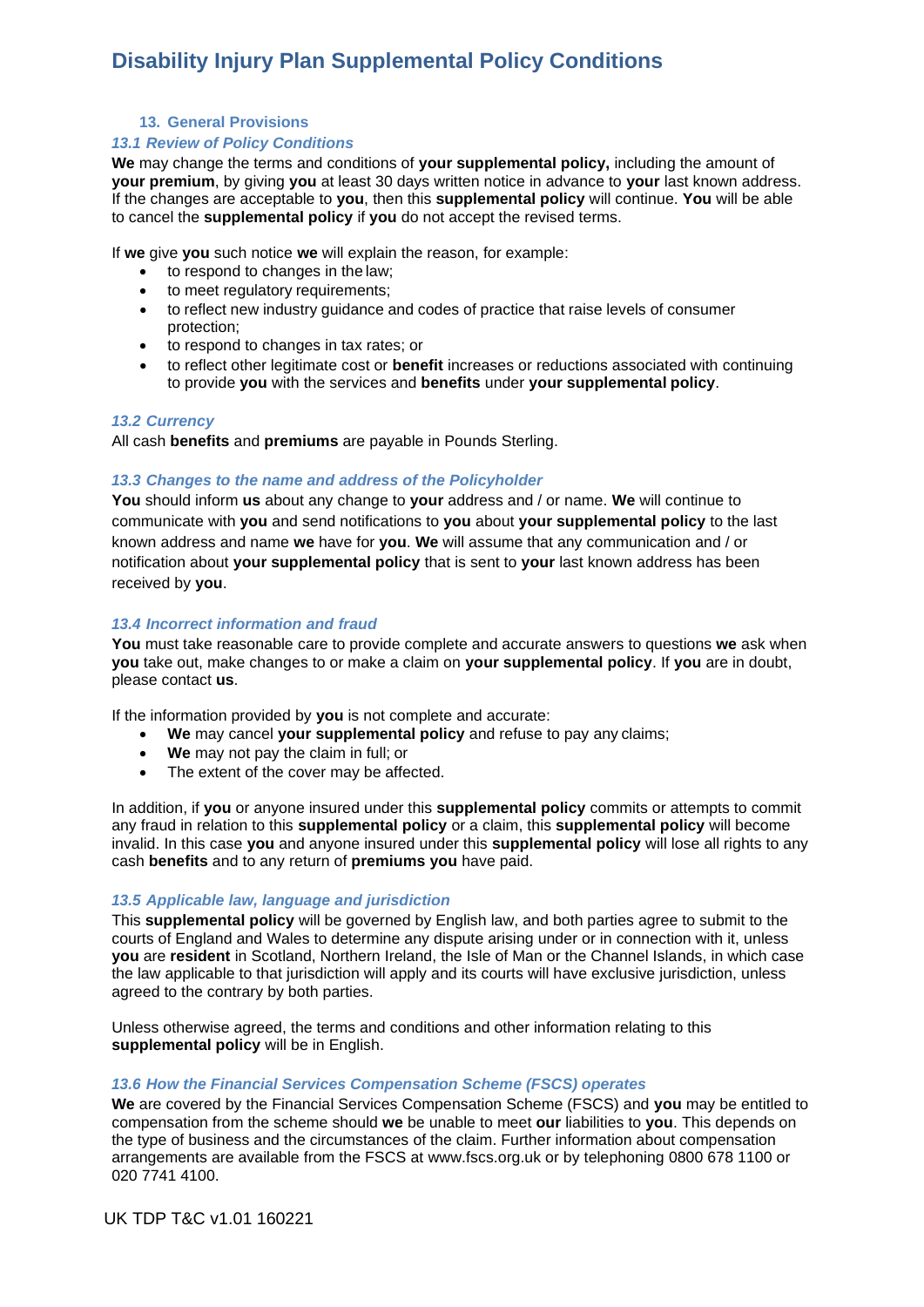**13. General Provisions**

#### *13.1 Review of Policy Conditions*

**We** may change the terms and conditions of **your supplemental policy,** including the amount of **your premium**, by giving **you** at least 30 days written notice in advance to **your** last known address. If the changes are acceptable to **you**, then this **supplemental policy** will continue. **You** will be able to cancel the **supplemental policy** if **you** do not accept the revised terms.

If **we** give **you** such notice **we** will explain the reason, for example:

- to respond to changes in the law;
- to meet regulatory requirements;
- to reflect new industry guidance and codes of practice that raise levels of consumer protection;
- to respond to changes in tax rates; or
- to reflect other legitimate cost or **benefit** increases or reductions associated with continuing to provide **you** with the services and **benefits** under **your supplemental policy**.

#### *13.2 Currency*

All cash **benefits** and **premiums** are payable in Pounds Sterling.

### *13.3 Changes to the name and address of the Policyholder*

**You** should inform **us** about any change to **your** address and / or name. **We** will continue to communicate with **you** and send notifications to **you** about **your supplemental policy** to the last known address and name **we** have for **you**. **We** will assume that any communication and / or notification about **your supplemental policy** that is sent to **your** last known address has been received by **you**.

### *13.4 Incorrect information and fraud*

**You** must take reasonable care to provide complete and accurate answers to questions **we** ask when **you** take out, make changes to or make a claim on **your supplemental policy**. If **you** are in doubt, please contact **us**.

If the information provided by **you** is not complete and accurate:

- **We** may cancel **your supplemental policy** and refuse to pay any claims;
- **We** may not pay the claim in full; or
- The extent of the cover may be affected.

In addition, if **you** or anyone insured under this **supplemental policy** commits or attempts to commit any fraud in relation to this **supplemental policy** or a claim, this **supplemental policy** will become invalid. In this case **you** and anyone insured under this **supplemental policy** will lose all rights to any cash **benefits** and to any return of **premiums you** have paid.

#### *13.5 Applicable law, language and jurisdiction*

This **supplemental policy** will be governed by English law, and both parties agree to submit to the courts of England and Wales to determine any dispute arising under or in connection with it, unless **you** are **resident** in Scotland, Northern Ireland, the Isle of Man or the Channel Islands, in which case the law applicable to that jurisdiction will apply and its courts will have exclusive jurisdiction, unless agreed to the contrary by both parties.

Unless otherwise agreed, the terms and conditions and other information relating to this **supplemental policy** will be in English.

#### *13.6 How the Financial Services Compensation Scheme (FSCS) operates*

**We** are covered by the Financial Services Compensation Scheme (FSCS) and **you** may be entitled to compensation from the scheme should **we** be unable to meet **our** liabilities to **you**. This depends on the type of business and the circumstances of the claim. Further information about compensation arrangements are available from the FSCS at [www.fscs.org.uk o](http://www.fscs.org.uk/)r by telephoning 0800 678 1100 or 020 7741 4100.

UK TDP T&C v1.01 160221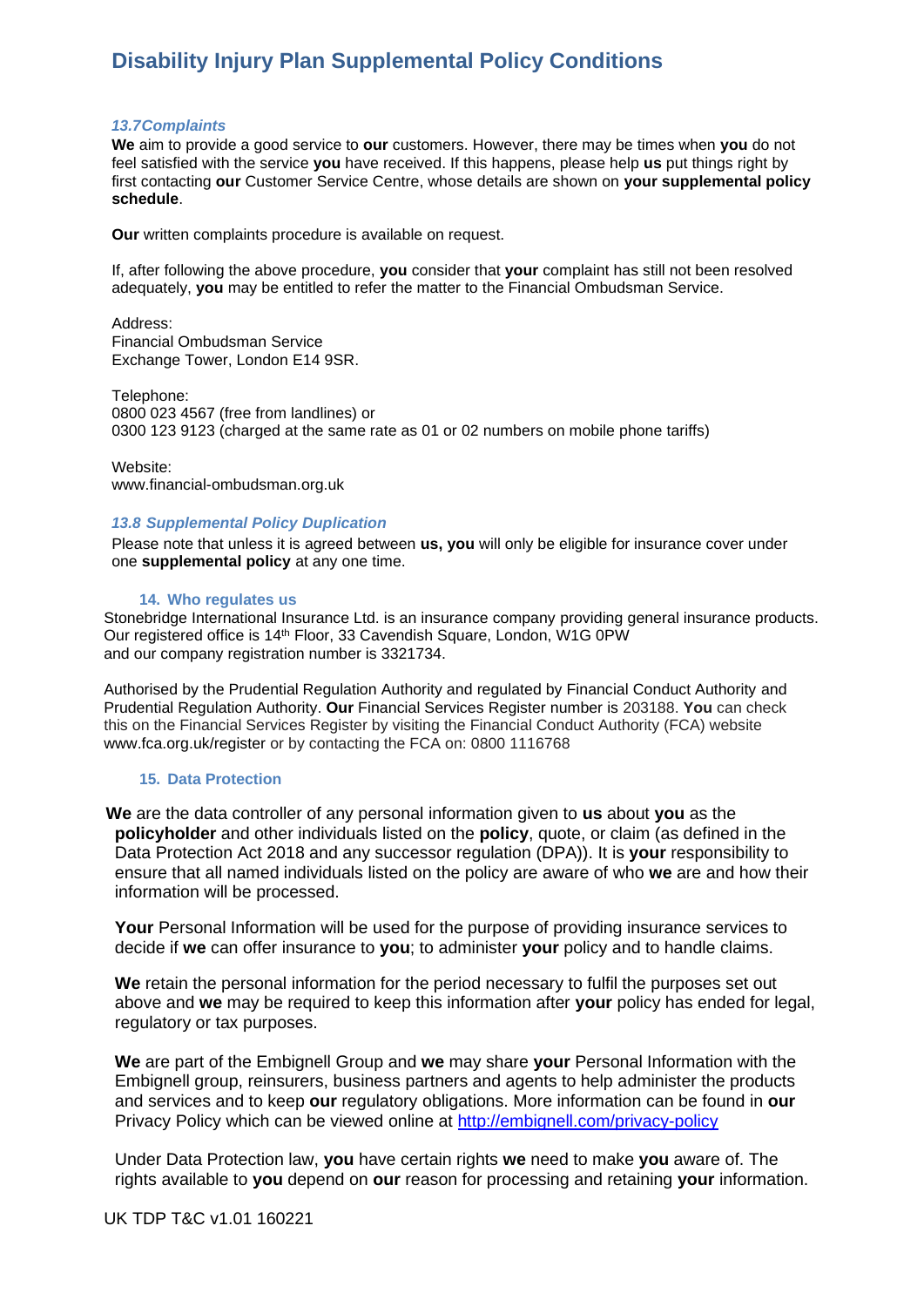#### *13.7Complaints*

**We** aim to provide a good service to **our** customers. However, there may be times when **you** do not feel satisfied with the service **you** have received. If this happens, please help **us** put things right by first contacting **our** Customer Service Centre, whose details are shown on **your supplemental policy schedule**.

**Our** written complaints procedure is available on request.

If, after following the above procedure, **you** consider that **your** complaint has still not been resolved adequately, **you** may be entitled to refer the matter to the Financial Ombudsman Service.

Address: Financial Ombudsman Service Exchange Tower, London E14 9SR.

Telephone: 0800 023 4567 (free from landlines) or 0300 123 9123 (charged at the same rate as 01 or 02 numbers on mobile phone tariffs)

Website: [www.financial-ombudsman.org.uk](http://www.financial-ombudsman.org.uk/)

#### *13.8 Supplemental Policy Duplication*

Please note that unless it is agreed between **us, you** will only be eligible for insurance cover under one **supplemental policy** at any one time.

#### **14. Who regulates us**

Stonebridge International Insurance Ltd. is an insurance company providing general insurance products. Our registered office is 14<sup>th</sup> Floor, 33 Cavendish Square, London, W1G 0PW and our company registration number is 3321734.

Authorised by the Prudential Regulation Authority and regulated by Financial Conduct Authority and Prudential Regulation Authority. **Our** Financial Services Register number is 203188. **You** can check this on the Financial Services Register by visiting the Financial Conduct Authority (FCA) website [www.fca.org.uk/register o](http://www.fca.org.uk/register)r by contacting the FCA on: 0800 1116768

#### **15. Data Protection**

 **We** are the data controller of any personal information given to **us** about **you** as the **policyholder** and other individuals listed on the **policy**, quote, or claim (as defined in the Data Protection Act 2018 and any successor regulation (DPA)). It is **your** responsibility to ensure that all named individuals listed on the policy are aware of who **we** are and how their information will be processed.

**Your** Personal Information will be used for the purpose of providing insurance services to decide if **we** can offer insurance to **you**; to administer **your** policy and to handle claims.

**We** retain the personal information for the period necessary to fulfil the purposes set out above and **we** may be required to keep this information after **your** policy has ended for legal, regulatory or tax purposes.

**We** are part of the Embignell Group and **we** may share **your** Personal Information with the Embignell group, reinsurers, business partners and agents to help administer the products and services and to keep **our** regulatory obligations. More information can be found in **our** Privacy Policy which can be viewed online at<http://embignell.com/privacy-policy>

Under Data Protection law, **you** have certain rights **we** need to make **you** aware of. The rights available to **you** depend on **our** reason for processing and retaining **your** information.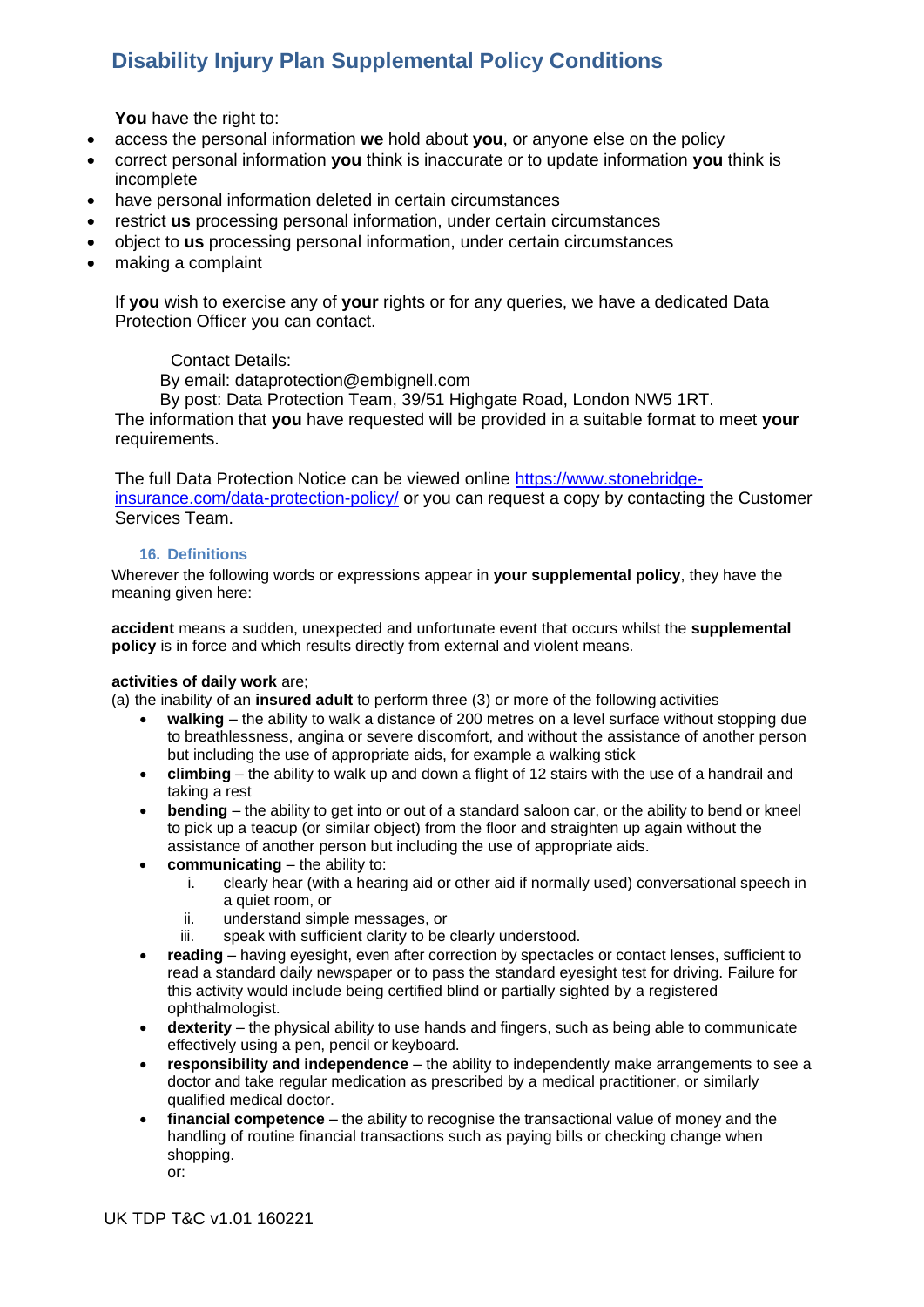**You** have the right to:

- access the personal information **we** hold about **you**, or anyone else on the policy
- correct personal information **you** think is inaccurate or to update information **you** think is incomplete
- have personal information deleted in certain circumstances
- restrict **us** processing personal information, under certain circumstances
- object to **us** processing personal information, under certain circumstances
- making a complaint

If **you** wish to exercise any of **your** rights or for any queries, we have a dedicated Data Protection Officer you can contact.

# Contact Details:

By email: dataprotection@embignell.com

By post: Data Protection Team, 39/51 Highgate Road, London NW5 1RT.

The information that **you** have requested will be provided in a suitable format to meet **your**  requirements.

The full Data Protection Notice can be viewed online [https://www.stonebridge](https://www.stonebridge-insurance.com/data-protection-policy/)[insurance.com/data-protection-policy/](https://www.stonebridge-insurance.com/data-protection-policy/) or you can request a copy by contacting the Customer Services Team.

## **16. Definitions**

Wherever the following words or expressions appear in **your supplemental policy**, they have the meaning given here:

**accident** means a sudden, unexpected and unfortunate event that occurs whilst the **supplemental policy** is in force and which results directly from external and violent means.

## **activities of daily work** are;

(a) the inability of an **insured adult** to perform three (3) or more of the following activities

- **walking** the ability to walk a distance of 200 metres on a level surface without stopping due to breathlessness, angina or severe discomfort, and without the assistance of another person but including the use of appropriate aids, for example a walking stick
- **climbing** the ability to walk up and down a flight of 12 stairs with the use of a handrail and taking a rest
- **bending** the ability to get into or out of a standard saloon car, or the ability to bend or kneel to pick up a teacup (or similar object) from the floor and straighten up again without the assistance of another person but including the use of appropriate aids.
- **communicating**  the ability to:
	- i. clearly hear (with a hearing aid or other aid if normally used) conversational speech in a quiet room, or
	- ii. understand simple messages, or
	- iii. speak with sufficient clarity to be clearly understood.
- **reading** having eyesight, even after correction by spectacles or contact lenses, sufficient to read a standard daily newspaper or to pass the standard eyesight test for driving. Failure for this activity would include being certified blind or partially sighted by a registered ophthalmologist.
- **dexterity** the physical ability to use hands and fingers, such as being able to communicate effectively using a pen, pencil or keyboard.
- **responsibility and independence**  the ability to independently make arrangements to see a doctor and take regular medication as prescribed by a medical practitioner, or similarly qualified medical doctor.
- **financial competence** the ability to recognise the transactional value of money and the handling of routine financial transactions such as paying bills or checking change when shopping.

or: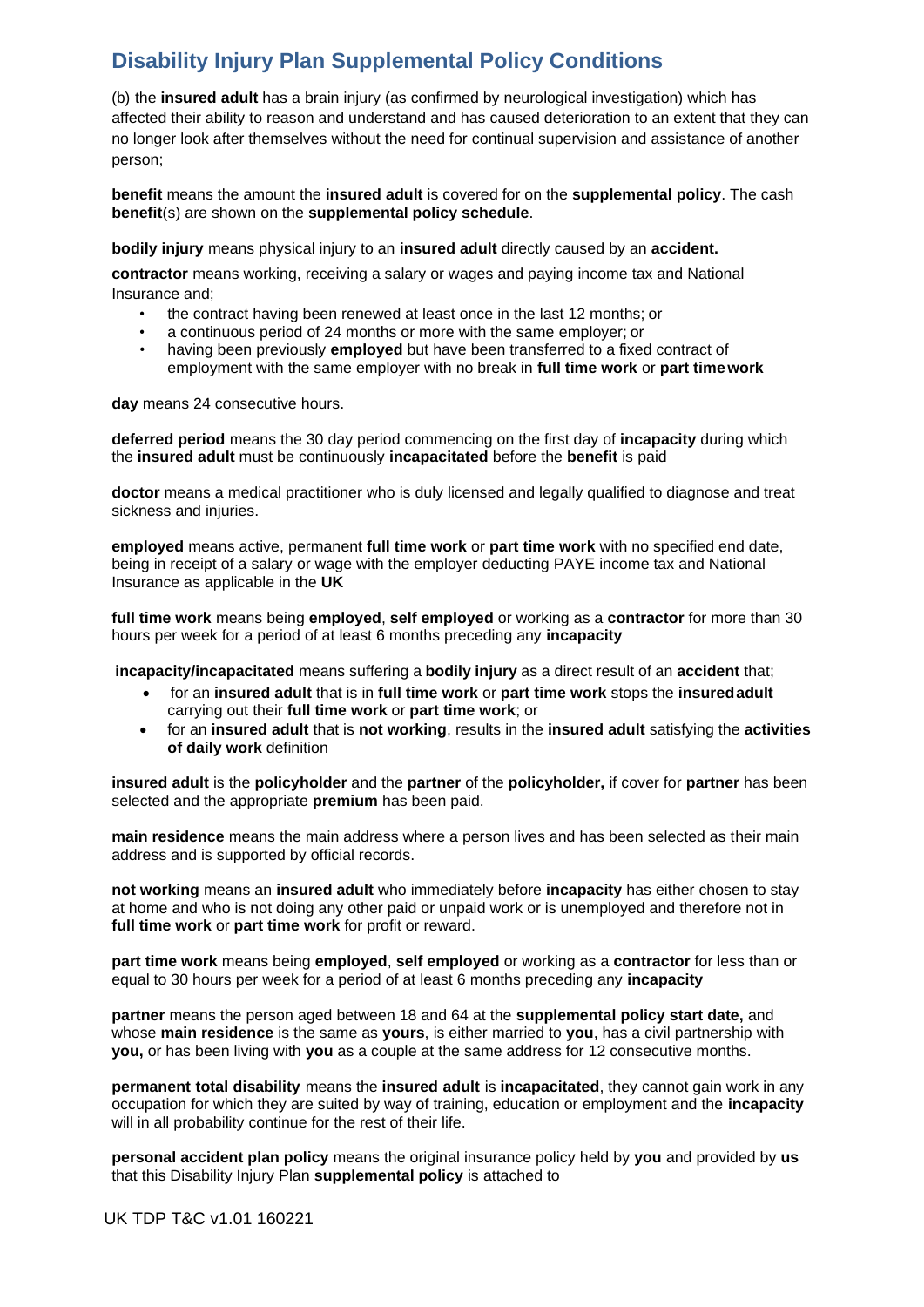(b) the **insured adult** has a brain injury (as confirmed by neurological investigation) which has affected their ability to reason and understand and has caused deterioration to an extent that they can no longer look after themselves without the need for continual supervision and assistance of another person;

**benefit** means the amount the **insured adult** is covered for on the **supplemental policy**. The cash **benefit**(s) are shown on the **supplemental policy schedule**.

**bodily injury** means physical injury to an **insured adult** directly caused by an **accident.**

**contractor** means working, receiving a salary or wages and paying income tax and National Insurance and;

- the contract having been renewed at least once in the last 12 months; or
- a continuous period of 24 months or more with the same employer; or
- having been previously **employed** but have been transferred to a fixed contract of employment with the same employer with no break in **full time work** or **part timework**

**day** means 24 consecutive hours.

**deferred period** means the 30 day period commencing on the first day of **incapacity** during which the **insured adult** must be continuously **incapacitated** before the **benefit** is paid

**doctor** means a medical practitioner who is duly licensed and legally qualified to diagnose and treat sickness and injuries.

**employed** means active, permanent **full time work** or **part time work** with no specified end date, being in receipt of a salary or wage with the employer deducting PAYE income tax and National Insurance as applicable in the **UK**

**full time work** means being **employed**, **self employed** or working as a **contractor** for more than 30 hours per week for a period of at least 6 months preceding any **incapacity**

**incapacity/incapacitated** means suffering a **bodily injury** as a direct result of an **accident** that;

- for an **insured adult** that is in **full time work** or **part time work** stops the **insuredadult** carrying out their **full time work** or **part time work**; or
- for an **insured adult** that is **not working**, results in the **insured adult** satisfying the **activities of daily work** definition

**insured adult** is the **policyholder** and the **partner** of the **policyholder,** if cover for **partner** has been selected and the appropriate **premium** has been paid.

**main residence** means the main address where a person lives and has been selected as their main address and is supported by official records.

**not working** means an **insured adult** who immediately before **incapacity** has either chosen to stay at home and who is not doing any other paid or unpaid work or is unemployed and therefore not in **full time work** or **part time work** for profit or reward.

**part time work** means being **employed**, **self employed** or working as a **contractor** for less than or equal to 30 hours per week for a period of at least 6 months preceding any **incapacity**

**partner** means the person aged between 18 and 64 at the **supplemental policy start date,** and whose **main residence** is the same as **yours**, is either married to **you**, has a civil partnership with **you,** or has been living with **you** as a couple at the same address for 12 consecutive months.

**permanent total disability** means the **insured adult** is **incapacitated**, they cannot gain work in any occupation for which they are suited by way of training, education or employment and the **incapacity**  will in all probability continue for the rest of their life.

**personal accident plan policy** means the original insurance policy held by **you** and provided by **us** that this Disability Injury Plan **supplemental policy** is attached to